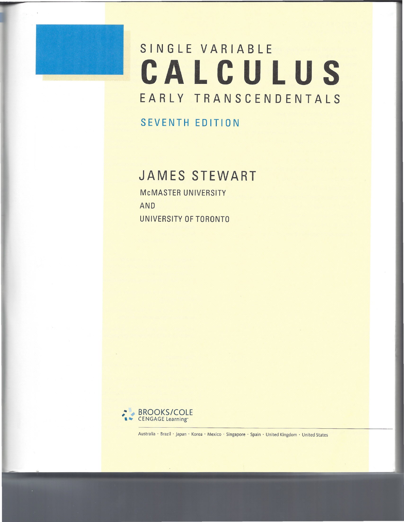

## **CALCULUS SINGLE VARIABLE EARLY TRANSCENDENTALS**

**SEVENTH EDITION**

## **JAMES STEWART**

**McMASTER UNIVERSITY AND UNIVERSITY OF TORONTO**



Australia · Brazil · Japan · Korea · Mexico · Singapore · Spain · United Kingdom · United States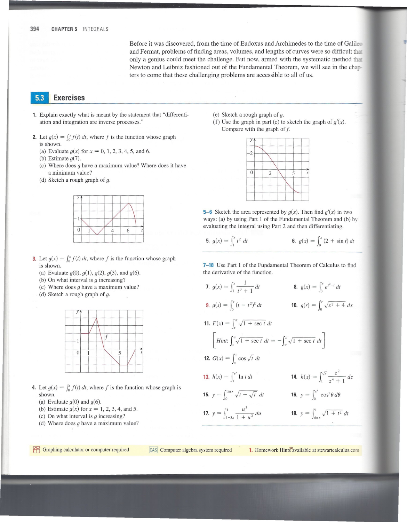Before it was discovered, from the time of Eudoxus and Archimedes to the time of Galil and Fermat, problems of finding areas, volumes, and lengths of curves were so difficult that only a genius could meet the challenge. But now, armed with the systematic method th Newton and Leibniz fashioned out of the Fundamental Theorem, we will see in the chapters to come that these challenging problems are accessible to all of us.

## 5.3 **Exercises**

- 1. Explain exactly what is meant by the statement that "differentiation and integration are inverse processes."
- 2. Let  $g(x) = \int_0^x f(t) dt$ , where f is the function whose graph is shown.
	- (a) Evaluate  $g(x)$  for  $x = 0, 1, 2, 3, 4, 5$ , and 6.
	- (b) Estimate *g(7).*
	- (c) Where does *9* have a maximum value? Where does it have a minimum value?
	- (d) Sketch a rough graph of *g.*



- **3.** Let  $g(x) = \int_0^x f(t) dt$ , where f is the function whose graph is shown.
	- (a) Evaluate *g(O), g(1), g(2), g(3),* and *g(6).*
	- (b) On what interval is *9* increasing?
	- (c) Where does *9* have a maximum value?
	- (d) Sketch a rough graph of *g.*



- 4. Let  $g(x) = \int_0^x f(t) dt$ , where f is the function whose graph is shown.
	- (a) Evaluate  $g(0)$  and  $g(6)$ .
	- (b) Estimate  $g(x)$  for  $x = 1, 2, 3, 4$ , and 5.
	- (c) On what interval is *9* increasing?
	- (d) Where does *9* have a maximum value?

(e) Sketch a rough graph of *g.*

(f) Use the graph in part (e) to sketch the graph of  $g'(x)$ . Compare with the graph of  $f$ .



5-6 Sketch the area represented by  $g(x)$ . Then find  $g'(x)$  in two ways: (a) by using Part 1 of the Fundamental Theorem and (b) by evaluating the integral using Part 2 and then differentiating.

5. 
$$
g(x) = \int_1^x t^2 dt
$$
  
6.  $g(x) = \int_0^x (2 + \sin t) dt$ 

7-18 Use Part 1 of the Fundamental Theorem of Calculus to find the derivative of the function.

*f* **7.**  $g(x) = \int_{1}^{x} \frac{1}{t^{3} + 1} dt$  **8.**  $g(x) = \int_{3}^{x} e^{t^{2} - t} dt$ **9.**  $g(s) = \int_{5}^{s} (t - t^2)^8 dt$  **10.**  $g(r) = \int_{0}^{r} \sqrt{x^2 + 4} dx$ **11.**  $F(x) = \int_0^{\pi} \sqrt{1 + \sec t} \ dt$ *Hint*:  $\int_{x}^{\pi} \sqrt{1 + \sec t} \ dt = -\int_{\pi}^{x} \sqrt{1 + \sec t} \ dt$ **12.**  $G(x) = \int_{x}^{1} \cos \sqrt{t} \ dt$ **13.**  $h(x) = \int_1^{e^x} \ln t \, dt$  **14.**  $h(x) = \int_1^{\sqrt{x}} \frac{z^2}{z^4 + 1} \, dz$ **15.**  $y = \int_0^{\tan x} \sqrt{t + \sqrt{t}} dt$  **16.**  $y = \int_0^{x^4} \cos^2 \theta d\theta$ **17.**  $y = \int_{1-3x}^{1} \frac{u^3}{1+u^2} du$  **18.**  $y = \int_{\sin x}^{1} \sqrt{1+t^2} du$ 

**for Graphing calculator or computer required** 

<sup>CAS</sup> Computer algebra system required **1.** Homework Hints available at stewartcalculus.com